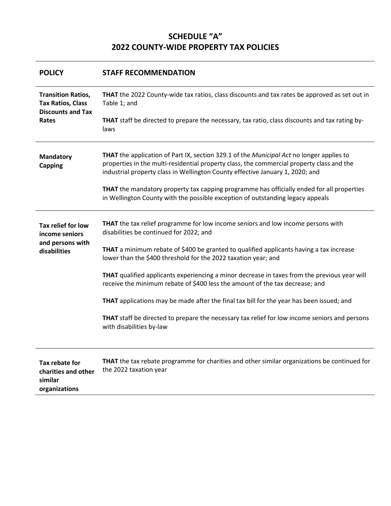# **SCHEDULE "A" 2022 COUNTY-WIDE PROPERTY TAX POLICIES**

| <b>POLICY</b>                                                                              | <b>STAFF RECOMMENDATION</b>                                                                                                                                                                                                                                            |  |  |  |  |  |  |  |  |
|--------------------------------------------------------------------------------------------|------------------------------------------------------------------------------------------------------------------------------------------------------------------------------------------------------------------------------------------------------------------------|--|--|--|--|--|--|--|--|
| <b>Transition Ratios,</b><br><b>Tax Ratios, Class</b><br><b>Discounts and Tax</b><br>Rates | THAT the 2022 County-wide tax ratios, class discounts and tax rates be approved as set out in<br>Table 1; and                                                                                                                                                          |  |  |  |  |  |  |  |  |
|                                                                                            | THAT staff be directed to prepare the necessary, tax ratio, class discounts and tax rating by-<br>laws                                                                                                                                                                 |  |  |  |  |  |  |  |  |
| <b>Mandatory</b><br><b>Capping</b>                                                         | THAT the application of Part IX, section 329.1 of the Municipal Act no longer applies to<br>properties in the multi-residential property class, the commercial property class and the<br>industrial property class in Wellington County effective January 1, 2020; and |  |  |  |  |  |  |  |  |
|                                                                                            | THAT the mandatory property tax capping programme has officially ended for all properties<br>in Wellington County with the possible exception of outstanding legacy appeals                                                                                            |  |  |  |  |  |  |  |  |
| Tax relief for low<br>income seniors                                                       | THAT the tax relief programme for low income seniors and low income persons with<br>disabilities be continued for 2022; and                                                                                                                                            |  |  |  |  |  |  |  |  |
| and persons with<br>disabilities                                                           | THAT a minimum rebate of \$400 be granted to qualified applicants having a tax increase<br>lower than the \$400 threshold for the 2022 taxation year; and                                                                                                              |  |  |  |  |  |  |  |  |
|                                                                                            | THAT qualified applicants experiencing a minor decrease in taxes from the previous year will<br>receive the minimum rebate of \$400 less the amount of the tax decrease; and                                                                                           |  |  |  |  |  |  |  |  |
|                                                                                            | <b>THAT</b> applications may be made after the final tax bill for the year has been issued; and                                                                                                                                                                        |  |  |  |  |  |  |  |  |
|                                                                                            | THAT staff be directed to prepare the necessary tax relief for low income seniors and persons<br>with disabilities by-law                                                                                                                                              |  |  |  |  |  |  |  |  |
| Tax rebate for<br>charities and other<br>similar<br>organizations                          | THAT the tax rebate programme for charities and other similar organizations be continued for<br>the 2022 taxation year                                                                                                                                                 |  |  |  |  |  |  |  |  |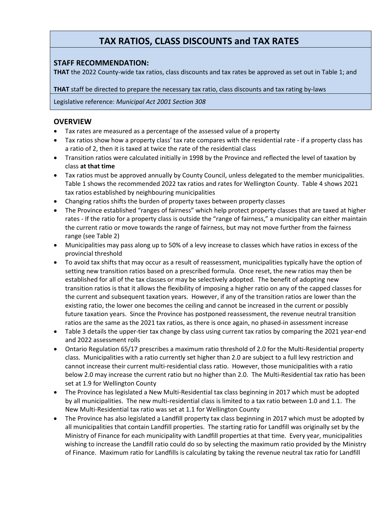# **TAX RATIOS, CLASS DISCOUNTS and TAX RATES**

# **STAFF RECOMMENDATION:**

**THAT** the 2022 County-wide tax ratios, class discounts and tax rates be approved as set out in Table 1; and

**THAT** staff be directed to prepare the necessary tax ratio, class discounts and tax rating by-laws

Legislative reference: *Municipal Act 2001 Section 308*

# **OVERVIEW**

- Tax rates are measured as a percentage of the assessed value of a property
- Tax ratios show how a property class' tax rate compares with the residential rate if a property class has a ratio of 2, then it is taxed at twice the rate of the residential class
- Transition ratios were calculated initially in 1998 by the Province and reflected the level of taxation by class **at that time**
- Tax ratios must be approved annually by County Council, unless delegated to the member municipalities. Table 1 shows the recommended 2022 tax ratios and rates for Wellington County. Table 4 shows 2021 tax ratios established by neighbouring municipalities
- Changing ratios shifts the burden of property taxes between property classes
- The Province established "ranges of fairness" which help protect property classes that are taxed at higher rates - If the ratio for a property class is outside the "range of fairness," a municipality can either maintain the current ratio or move towards the range of fairness, but may not move further from the fairness range (see Table 2)
- Municipalities may pass along up to 50% of a levy increase to classes which have ratios in excess of the provincial threshold
- To avoid tax shifts that may occur as a result of reassessment, municipalities typically have the option of setting new transition ratios based on a prescribed formula. Once reset, the new ratios may then be established for all of the tax classes or may be selectively adopted. The benefit of adopting new transition ratios is that it allows the flexibility of imposing a higher ratio on any of the capped classes for the current and subsequent taxation years. However, if any of the transition ratios are lower than the existing ratio, the lower one becomes the ceiling and cannot be increased in the current or possibly future taxation years. Since the Province has postponed reassessment, the revenue neutral transition ratios are the same as the 2021 tax ratios, as there is once again, no phased-in assessment increase
- Table 3 details the upper-tier tax change by class using current tax ratios by comparing the 2021 year-end and 2022 assessment rolls
- Ontario Regulation 65/17 prescribes a maximum ratio threshold of 2.0 for the Multi-Residential property class. Municipalities with a ratio currently set higher than 2.0 are subject to a full levy restriction and cannot increase their current multi-residential class ratio. However, those municipalities with a ratio below 2.0 may increase the current ratio but no higher than 2.0. The Multi-Residential tax ratio has been set at 1.9 for Wellington County
- The Province has legislated a New Multi-Residential tax class beginning in 2017 which must be adopted by all municipalities. The new multi-residential class is limited to a tax ratio between 1.0 and 1.1. The New Multi-Residential tax ratio was set at 1.1 for Wellington County
- The Province has also legislated a Landfill property tax class beginning in 2017 which must be adopted by all municipalities that contain Landfill properties. The starting ratio for Landfill was originally set by the Ministry of Finance for each municipality with Landfill properties at that time. Every year, municipalities wishing to increase the Landfill ratio could do so by selecting the maximum ratio provided by the Ministry of Finance. Maximum ratio for Landfills is calculating by taking the revenue neutral tax ratio for Landfill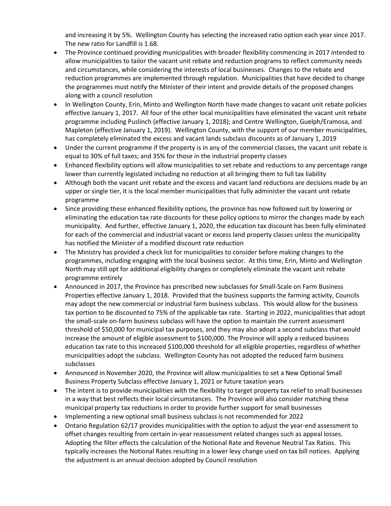and increasing it by 5%. Wellington County has selecting the increased ratio option each year since 2017. The new ratio for Landfill is 1.68.

- The Province continued providing municipalities with broader flexibility commencing in 2017 intended to allow municipalities to tailor the vacant unit rebate and reduction programs to reflect community needs and circumstances, while considering the interests of local businesses. Changes to the rebate and reduction programmes are implemented through regulation. Municipalities that have decided to change the programmes must notify the Minister of their intent and provide details of the proposed changes along with a council resolution
- In Wellington County, Erin, Minto and Wellington North have made changes to vacant unit rebate policies effective January 1, 2017. All four of the other local municipalities have eliminated the vacant unit rebate programme including Puslinch (effective January 1, 2018); and Centre Wellington, Guelph/Eramosa, and Mapleton (effective January 1, 2019). Wellington County, with the support of our member municipalities, has completely eliminated the excess and vacant lands subclass discounts as of January 1, 2019
- Under the current programme if the property is in any of the commercial classes, the vacant unit rebate is equal to 30% of full taxes; and 35% for those in the industrial property classes
- Enhanced flexibility options will allow municipalities to set rebate and reductions to any percentage range lower than currently legislated including no reduction at all bringing them to full tax liability
- Although both the vacant unit rebate and the excess and vacant land reductions are decisions made by an upper or single tier, it is the local member municipalities that fully administer the vacant unit rebate programme
- Since providing these enhanced flexibility options, the province has now followed suit by lowering or eliminating the education tax rate discounts for these policy options to mirror the changes made by each municipality. And further, effective January 1, 2020, the education tax discount has been fully eliminated for each of the commercial and industrial vacant or excess land property classes unless the municipality has notified the Minister of a modified discount rate reduction
- The Ministry has provided a check list for municipalities to consider before making changes to the programmes, including engaging with the local business sector. At this time, Erin, Minto and Wellington North may still opt for additional eligibility changes or completely eliminate the vacant unit rebate programme entirely
- Announced in 2017, the Province has prescribed new subclasses for Small-Scale on Farm Business Properties effective January 1, 2018. Provided that the business supports the farming activity, Councils may adopt the new commercial or industrial farm business subclass. This would allow for the business tax portion to be discounted to 75% of the applicable tax rate. Starting in 2022, municipalities that adopt the small-scale on-farm business subclass will have the option to maintain the current assessment threshold of \$50,000 for municipal tax purposes, and they may also adopt a second subclass that would increase the amount of eligible assessment to \$100,000. The Province will apply a reduced business education tax rate to this increased \$100,000 threshold for all eligible properties, regardless of whether municipalities adopt the subclass. Wellington County has not adopted the reduced farm business subclasses
- Announced in November 2020, the Province will allow municipalities to set a New Optional Small Business Property Subclass effective January 1, 2021 or future taxation years
- The intent is to provide municipalities with the flexibility to target property tax relief to small businesses in a way that best reflects their local circumstances. The Province will also consider matching these municipal property tax reductions in order to provide further support for small businesses
- Implementing a new optional small business subclass is not recommended for 2022
- Ontario Regulation 62/17 provides municipalities with the option to adjust the year-end assessment to offset changes resulting from certain in-year reassessment related changes such as appeal losses. Adopting the filter effects the calculation of the Notional Rate and Revenue Neutral Tax Ratios. This typically increases the Notional Rates resulting in a lower levy change used on tax bill notices. Applying the adjustment is an annual decision adopted by Council resolution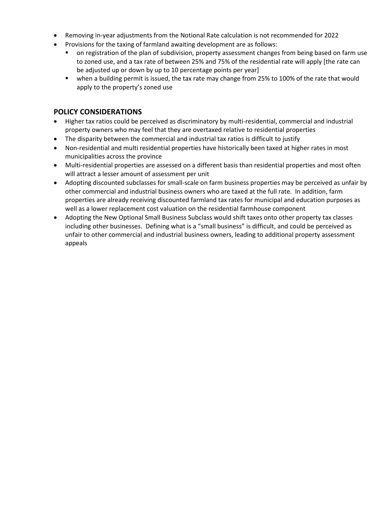- Removing in-year adjustments from the Notional Rate calculation is not recommended for 2022
- Provisions for the taxing of farmland awaiting development are as follows:
	- on registration of the plan of subdivision, property assessment changes from being based on farm use to zoned use, and a tax rate of between 25% and 75% of the residential rate will apply [the rate can be adjusted up or down by up to 10 percentage points per year]
	- when a building permit is issued, the tax rate may change from 25% to 100% of the rate that would apply to the property's zoned use

# **POLICY CONSIDERATIONS**

- Higher tax ratios could be perceived as discriminatory by multi-residential, commercial and industrial property owners who may feel that they are overtaxed relative to residential properties
- The disparity between the commercial and industrial tax ratios is difficult to justify
- Non-residential and multi residential properties have historically been taxed at higher rates in most municipalities across the province
- Multi-residential properties are assessed on a different basis than residential properties and most often will attract a lesser amount of assessment per unit
- Adopting discounted subclasses for small-scale on farm business properties may be perceived as unfair by other commercial and industrial business owners who are taxed at the full rate. In addition, farm properties are already receiving discounted farmland tax rates for municipal and education purposes as well as a lower replacement cost valuation on the residential farmhouse component
- Adopting the New Optional Small Business Subclass would shift taxes onto other property tax classes including other businesses. Defining what is a "small business" is difficult, and could be perceived as unfair to other commercial and industrial business owners, leading to additional property assessment appeals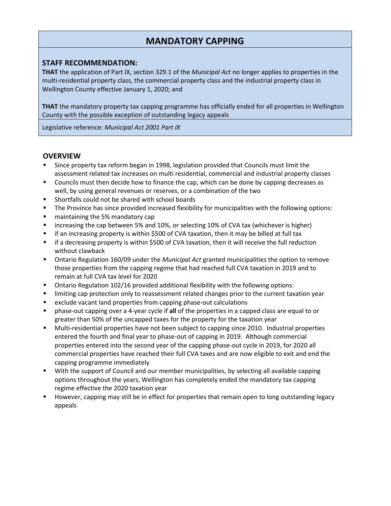# **MANDATORY CAPPING**

## **STAFF RECOMMENDATION:**

**THAT** the application of Part IX, section 329.1 of the *Municipal Act* no longer applies to properties in the multi-residential property class, the commercial property class and the industrial property class in Wellington County effective January 1, 2020; and

**THAT** the mandatory property tax capping programme has officially ended for all properties in Wellington County with the possible exception of outstanding legacy appeals

Legislative reference: *Municipal Act 2001 Part IX*

### **OVERVIEW**

- Since property tax reform began in 1998, legislation provided that Councils must limit the assessment related tax increases on multi residential, commercial and industrial property classes
- **Councils must then decide how to finance the cap, which can be done by capping decreases as** well, by using general revenues or reserves, or a combination of the two
- Shortfalls could not be shared with school boards
- **The Province has since provided increased flexibility for municipalities with the following options:**
- **E** maintaining the 5% mandatory cap
- increasing the cap between 5% and 10%, or selecting 10% of CVA tax (whichever is higher)
- if an increasing property is within \$500 of CVA taxation, then it may be billed at full tax
- **F** if a decreasing property is within \$500 of CVA taxation, then it will receive the full reduction without clawback
- Ontario Regulation 160/09 under the *Municipal Act* granted municipalities the option to remove those properties from the capping regime that had reached full CVA taxation in 2019 and to remain at full CVA tax level for 2020
- Ontario Regulation 102/16 provided additional flexibility with the following options:
- **IDIMITY 1.1** limiting cap protection only to reassessment related changes prior to the current taxation year
- **E** exclude vacant land properties from capping phase-out calculations
- phase-out capping over a 4-year cycle if **all** of the properties in a capped class are equal to or greater than 50% of the uncapped taxes for the property for the taxation year
- Multi-residential properties have not been subject to capping since 2010. Industrial properties entered the fourth and final year to phase-out of capping in 2019. Although commercial properties entered into the second year of the capping phase-out cycle in 2019, for 2020 all commercial properties have reached their full CVA taxes and are now eligible to exit and end the capping programme immediately
- With the support of Council and our member municipalities, by selecting all available capping options throughout the years, Wellington has completely ended the mandatory tax capping regime effective the 2020 taxation year
- **However, capping may still be in effect for properties that remain open to long outstanding legacy** appeals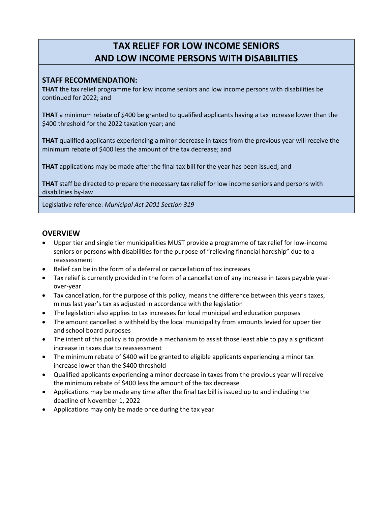# **TAX RELIEF FOR LOW INCOME SENIORS AND LOW INCOME PERSONS WITH DISABILITIES**

## **STAFF RECOMMENDATION:**

**THAT** the tax relief programme for low income seniors and low income persons with disabilities be continued for 2022; and

**THAT** a minimum rebate of \$400 be granted to qualified applicants having a tax increase lower than the \$400 threshold for the 2022 taxation year; and

**THAT** qualified applicants experiencing a minor decrease in taxes from the previous year will receive the minimum rebate of \$400 less the amount of the tax decrease; and

**THAT** applications may be made after the final tax bill for the year has been issued; and

**THAT** staff be directed to prepare the necessary tax relief for low income seniors and persons with disabilities by-law

Legislative reference: *Municipal Act 2001 Section 319*

## **OVERVIEW**

- Upper tier and single tier municipalities MUST provide a programme of tax relief for low-income seniors or persons with disabilities for the purpose of "relieving financial hardship" due to a reassessment
- Relief can be in the form of a deferral or cancellation of tax increases
- Tax relief is currently provided in the form of a cancellation of any increase in taxes payable yearover-year
- Tax cancellation, for the purpose of this policy, means the difference between this year's taxes, minus last year's tax as adjusted in accordance with the legislation
- The legislation also applies to tax increases for local municipal and education purposes
- The amount cancelled is withheld by the local municipality from amounts levied for upper tier and school board purposes
- The intent of this policy is to provide a mechanism to assist those least able to pay a significant increase in taxes due to reassessment
- The minimum rebate of \$400 will be granted to eligible applicants experiencing a minor tax increase lower than the \$400 threshold
- Qualified applicants experiencing a minor decrease in taxes from the previous year will receive the minimum rebate of \$400 less the amount of the tax decrease
- Applications may be made any time after the final tax bill is issued up to and including the deadline of November 1, 2022
- Applications may only be made once during the tax year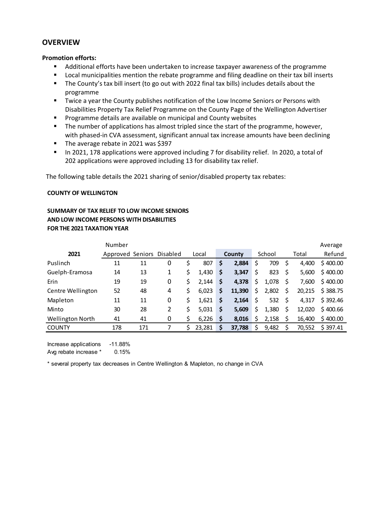### **OVERVIEW**

#### **Promotion efforts:**

- Additional efforts have been undertaken to increase taxpayer awareness of the programme
- **EXECT** Local municipalities mention the rebate programme and filing deadline on their tax bill inserts
- The County's tax bill insert (to go out with 2022 final tax bills) includes details about the programme
- Twice a year the County publishes notification of the Low Income Seniors or Persons with Disabilities Property Tax Relief Programme on the County Page of the Wellington Advertiser
- **Programme details are available on municipal and County websites**
- **The number of applications has almost tripled since the start of the programme, however,** with phased-in CVA assessment, significant annual tax increase amounts have been declining
- The average rebate in 2021 was \$397
- In 2021, 178 applications were approved including 7 for disability relief. In 2020, a total of 202 applications were approved including 13 for disability tax relief.

The following table details the 2021 sharing of senior/disabled property tax rebates:

#### **COUNTY OF WELLINGTON**

## **SUMMARY OF TAX RELIEF TO LOW INCOME SENIORS AND LOW INCOME PERSONS WITH DISABILITIES FOR THE 2021 TAXATION YEAR**

|                   | Number           |     |          |    |        |    |        |    |        |     |        | Average  |
|-------------------|------------------|-----|----------|----|--------|----|--------|----|--------|-----|--------|----------|
| 2021              | Approved Seniors |     | Disabled |    | Local  |    | County |    | School |     | Total  | Refund   |
| Puslinch          | 11               | 11  | 0        |    | 807    | \$ | 2,884  | \$ | 709    | \$, | 4.400  | \$400.00 |
| Guelph-Eramosa    | 14               | 13  | 1        | \$ | 1,430  | \$ | 3,347  | \$ | 823    | S   | 5,600  | \$400.00 |
| Erin              | 19               | 19  | 0        | Ś  | 2,144  | \$ | 4,378  | \$ | 1,078  | \$  | 7.600  | \$400.00 |
| Centre Wellington | 52               | 48  | 4        |    | 6,023  | \$ | 11,390 | \$ | 2,802  | \$  | 20,215 | \$388.75 |
| Mapleton          | 11               | 11  | 0        | Ś. | 1.621  | \$ | 2,164  | \$ | 532    | S.  | 4.317  | \$392.46 |
| Minto             | 30               | 28  | 2        |    | 5,031  | \$ | 5,609  | Ś  | 1,380  | \$  | 12.020 | \$400.66 |
| Wellington North  | 41               | 41  | 0        |    | 6,226  | Ś  | 8,016  | Ś  | 2,158  |     | 16.400 | \$400.00 |
| <b>COUNTY</b>     | 178              | 171 |          |    | 23,281 | Ś  | 37,788 | Ś  | 9,482  |     | 70,552 | \$397.41 |

Increase applications -11.88% Avg rebate increase \* 0.15%

\* several property tax decreases in Centre Wellington & Mapleton, no change in CVA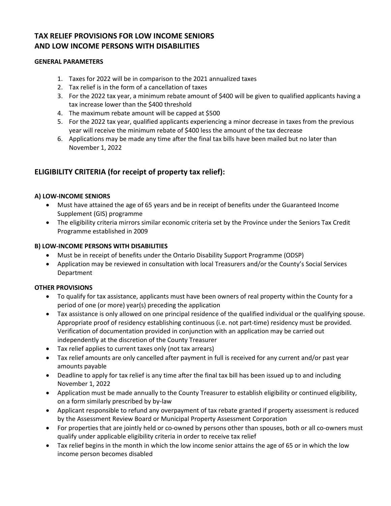# **TAX RELIEF PROVISIONS FOR LOW INCOME SENIORS AND LOW INCOME PERSONS WITH DISABILITIES**

### **GENERAL PARAMETERS**

- 1. Taxes for 2022 will be in comparison to the 2021 annualized taxes
- 2. Tax relief is in the form of a cancellation of taxes
- 3. For the 2022 tax year, a minimum rebate amount of \$400 will be given to qualified applicants having a tax increase lower than the \$400 threshold
- 4. The maximum rebate amount will be capped at \$500
- 5. For the 2022 tax year, qualified applicants experiencing a minor decrease in taxes from the previous year will receive the minimum rebate of \$400 less the amount of the tax decrease
- 6. Applications may be made any time after the final tax bills have been mailed but no later than November 1, 2022

# **ELIGIBILITY CRITERIA (for receipt of property tax relief):**

### **A) LOW-INCOME SENIORS**

- Must have attained the age of 65 years and be in receipt of benefits under the Guaranteed Income Supplement (GIS) programme
- The eligibility criteria mirrors similar economic criteria set by the Province under the Seniors Tax Credit Programme established in 2009

### **B) LOW-INCOME PERSONS WITH DISABILITIES**

- Must be in receipt of benefits under the Ontario Disability Support Programme (ODSP)
- Application may be reviewed in consultation with local Treasurers and/or the County's Social Services Department

#### **OTHER PROVISIONS**

- To qualify for tax assistance, applicants must have been owners of real property within the County for a period of one (or more) year(s) preceding the application
- Tax assistance is only allowed on one principal residence of the qualified individual or the qualifying spouse. Appropriate proof of residency establishing continuous (i.e. not part-time) residency must be provided. Verification of documentation provided in conjunction with an application may be carried out independently at the discretion of the County Treasurer
- Tax relief applies to current taxes only (not tax arrears)
- Tax relief amounts are only cancelled after payment in full is received for any current and/or past year amounts payable
- Deadline to apply for tax relief is any time after the final tax bill has been issued up to and including November 1, 2022
- Application must be made annually to the County Treasurer to establish eligibility or continued eligibility, on a form similarly prescribed by by-law
- Applicant responsible to refund any overpayment of tax rebate granted if property assessment is reduced by the Assessment Review Board or Municipal Property Assessment Corporation
- For properties that are jointly held or co-owned by persons other than spouses, both or all co-owners must qualify under applicable eligibility criteria in order to receive tax relief
- Tax relief begins in the month in which the low income senior attains the age of 65 or in which the low income person becomes disabled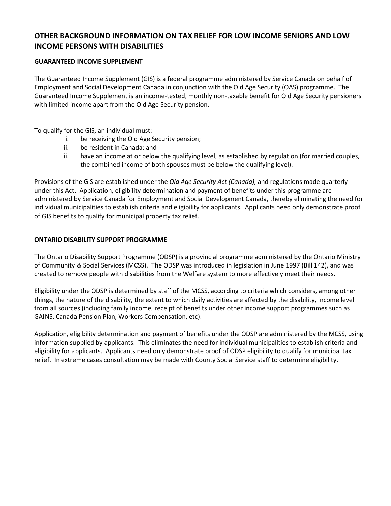# **OTHER BACKGROUND INFORMATION ON TAX RELIEF FOR LOW INCOME SENIORS AND LOW INCOME PERSONS WITH DISABILITIES**

### **GUARANTEED INCOME SUPPLEMENT**

The Guaranteed Income Supplement (GIS) is a federal programme administered by Service Canada on behalf of Employment and Social Development Canada in conjunction with the Old Age Security (OAS) programme. The Guaranteed Income Supplement is an income-tested, monthly non-taxable benefit for Old Age Security pensioners with limited income apart from the Old Age Security pension.

To qualify for the GIS, an individual must:

- i. be receiving the Old Age Security pension;
- ii. be resident in Canada; and
- iii. have an income at or below the qualifying level, as established by regulation (for married couples, the combined income of both spouses must be below the qualifying level).

Provisions of the GIS are established under the *Old Age Security Act (Canada),* and regulations made quarterly under this Act. Application, eligibility determination and payment of benefits under this programme are administered by Service Canada for Employment and Social Development Canada, thereby eliminating the need for individual municipalities to establish criteria and eligibility for applicants. Applicants need only demonstrate proof of GIS benefits to qualify for municipal property tax relief.

### **ONTARIO DISABILITY SUPPORT PROGRAMME**

The Ontario Disability Support Programme (ODSP) is a provincial programme administered by the Ontario Ministry of Community & Social Services (MCSS). The ODSP was introduced in legislation in June 1997 (Bill 142), and was created to remove people with disabilities from the Welfare system to more effectively meet their needs.

Eligibility under the ODSP is determined by staff of the MCSS, according to criteria which considers, among other things, the nature of the disability, the extent to which daily activities are affected by the disability, income level from all sources (including family income, receipt of benefits under other income support programmes such as GAINS, Canada Pension Plan, Workers Compensation, etc).

Application, eligibility determination and payment of benefits under the ODSP are administered by the MCSS, using information supplied by applicants. This eliminates the need for individual municipalities to establish criteria and eligibility for applicants. Applicants need only demonstrate proof of ODSP eligibility to qualify for municipal tax relief. In extreme cases consultation may be made with County Social Service staff to determine eligibility.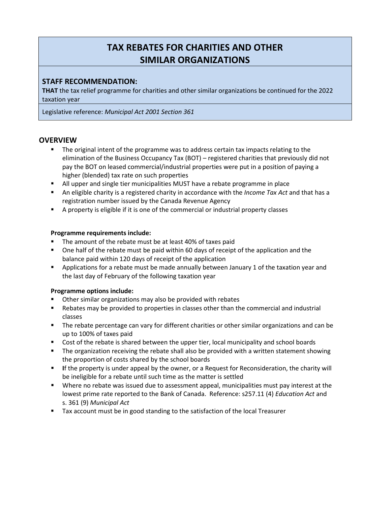# **TAX REBATES FOR CHARITIES AND OTHER SIMILAR ORGANIZATIONS**

# **STAFF RECOMMENDATION:**

**THAT** the tax relief programme for charities and other similar organizations be continued for the 2022 taxation year

Legislative reference: *Municipal Act 2001 Section 361*

### **OVERVIEW**

- **The original intent of the programme was to address certain tax impacts relating to the** elimination of the Business Occupancy Tax (BOT) – registered charities that previously did not pay the BOT on leased commercial/industrial properties were put in a position of paying a higher (blended) tax rate on such properties
- All upper and single tier municipalities MUST have a rebate programme in place
- An eligible charity is a registered charity in accordance with the *Income Tax Act* and that has a registration number issued by the Canada Revenue Agency
- A property is eligible if it is one of the commercial or industrial property classes

### **Programme requirements include:**

- The amount of the rebate must be at least 40% of taxes paid
- One half of the rebate must be paid within 60 days of receipt of the application and the balance paid within 120 days of receipt of the application
- **•** Applications for a rebate must be made annually between January 1 of the taxation year and the last day of February of the following taxation year

### **Programme options include:**

- Other similar organizations may also be provided with rebates
- **EXECT** Rebates may be provided to properties in classes other than the commercial and industrial classes
- **The rebate percentage can vary for different charities or other similar organizations and can be** up to 100% of taxes paid
- Cost of the rebate is shared between the upper tier, local municipality and school boards
- **The organization receiving the rebate shall also be provided with a written statement showing** the proportion of costs shared by the school boards
- **I**f the property is under appeal by the owner, or a Request for Reconsideration, the charity will be ineligible for a rebate until such time as the matter is settled
- Where no rebate was issued due to assessment appeal, municipalities must pay interest at the lowest prime rate reported to the Bank of Canada. Reference: s257.11 (4) *Education Act* and s. 361 (9) *Municipal Act*
- **Tax account must be in good standing to the satisfaction of the local Treasurer**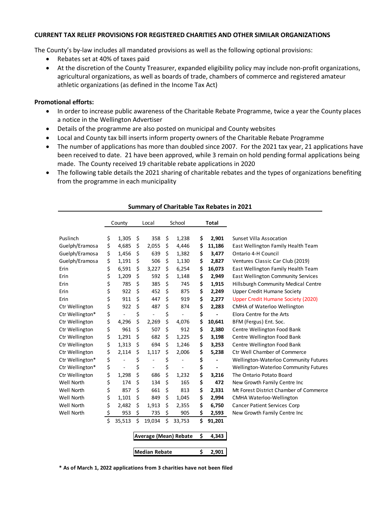#### **CURRENT TAX RELIEF PROVISIONS FOR REGISTERED CHARITIES AND OTHER SIMILAR ORGANIZATIONS**

The County's by-law includes all mandated provisions as well as the following optional provisions:

- Rebates set at 40% of taxes paid
- At the discretion of the County Treasurer, expanded eligibility policy may include non-profit organizations, agricultural organizations, as well as boards of trade, chambers of commerce and registered amateur athletic organizations (as defined in the Income Tax Act)

#### **Promotional efforts:**

- In order to increase public awareness of the Charitable Rebate Programme, twice a year the County places a notice in the Wellington Advertiser
- Details of the programme are also posted on municipal and County websites
- Local and County tax bill inserts inform property owners of the Charitable Rebate Programme
- The number of applications has more than doubled since 2007. For the 2021 tax year, 21 applications have been received to date. 21 have been approved, while 3 remain on hold pending formal applications being made. The County received 19 charitable rebate applications in 2020
- The following table details the 2021 sharing of charitable rebates and the types of organizations benefiting from the programme in each municipality

|                 |    | County               | Local                              | School                | <b>Total</b> |                                           |
|-----------------|----|----------------------|------------------------------------|-----------------------|--------------|-------------------------------------------|
| Puslinch        | \$ | 1,305                | \$<br>358                          | \$<br>1,238           | \$<br>2,901  | Sunset Villa Assocation                   |
| Guelph/Eramosa  | \$ | 4,685                | \$<br>2,055                        | \$<br>4,446           | \$<br>11,186 | East Wellington Family Health Team        |
| Guelph/Eramosa  | \$ | 1,456                | \$<br>639                          | \$<br>1,382           | \$<br>3,477  | Ontario 4-H Council                       |
| Guelph/Eramosa  | \$ | 1,191                | \$<br>506                          | \$<br>1,130           | \$<br>2,827  | Ventures Classic Car Club (2019)          |
| Erin            | \$ | 6,591                | \$<br>3,227                        | \$<br>6,254           | \$<br>16,073 | East Wellington Family Health Team        |
| Erin            | \$ | 1,209                | \$<br>592                          | \$<br>1,148           | \$<br>2,949  | <b>East Wellington Community Services</b> |
| Erin            | \$ | 785                  | \$<br>385                          | \$<br>745             | \$<br>1,915  | Hillsburgh Community Medical Centre       |
| Erin            | \$ | 922                  | \$<br>452                          | \$<br>875             | \$<br>2,249  | <b>Upper Credit Humane Society</b>        |
| Erin            | \$ | 911                  | \$<br>447                          | \$<br>919             | \$<br>2,277  | Upper Credit Humane Society (2020)        |
| Ctr Wellington  | \$ | 922                  | \$<br>487                          | \$<br>874             | \$<br>2,283  | <b>CMHA of Waterloo Wellington</b>        |
| Ctr Wellington* | \$ | $\blacksquare$       | \$<br>÷,                           | \$                    | \$           | Elora Centre for the Arts                 |
| Ctr Wellington  | \$ | 4,296                | \$<br>2,269                        | \$<br>4,076           | \$<br>10,641 | BFM (Fergus) Ent. Soc.                    |
| Ctr Wellington  | \$ | 961                  | \$<br>507                          | \$<br>912             | \$<br>2,380  | Centre Wellington Food Bank               |
| Ctr Wellington  | \$ | 1,291                | \$<br>682                          | \$<br>1,225           | \$<br>3,198  | Centre Wellington Food Bank               |
| Ctr Wellington  | \$ | 1,313                | \$<br>694                          | \$<br>1,246           | \$<br>3,253  | Centre Wellington Food Bank               |
| Ctr Wellington  | \$ | 2,114                | \$<br>1,117                        | \$<br>2,006           | \$<br>5,238  | <b>Ctr Well Chamber of Commerce</b>       |
| Ctr Wellington* | \$ | ÷,                   | \$<br>÷                            | \$<br>$\overline{a}$  | \$           | Wellington-Waterloo Community Futures     |
| Ctr Wellington* | \$ | $\ddot{\phantom{0}}$ | \$<br>$\qquad \qquad \blacksquare$ | \$                    | \$           | Wellington-Waterloo Community Futures     |
| Ctr Wellington  | \$ | 1,298                | \$<br>686                          | \$<br>1,232           | \$<br>3,216  | The Ontario Potato Board                  |
| Well North      | \$ | 174                  | \$<br>134                          | \$<br>165             | \$<br>472    | New Growth Family Centre Inc              |
| Well North      | \$ | 857                  | \$<br>661                          | \$<br>813             | \$<br>2,331  | Mt Forest District Chamber of Commerce    |
| Well North      | \$ | 1,101                | \$<br>849                          | \$<br>1,045           | \$<br>2,994  | <b>CMHA Waterloo-Wellington</b>           |
| Well North      | \$ | 2,482                | \$<br>1,913                        | \$<br>2,355           | \$<br>6,750  | <b>Cancer Patient Services Corp</b>       |
| Well North      | \$ | 953                  | \$<br>735                          | \$<br>905             | \$<br>2,593  | New Growth Family Centre Inc              |
|                 | Ś  | 35,513               | \$<br>19,034                       | \$<br>33,753          | \$<br>91,201 |                                           |
|                 |    |                      |                                    | Average (Mean) Rebate | \$<br>4,343  |                                           |
|                 |    |                      |                                    |                       |              |                                           |
|                 |    |                      | Median Rebate                      |                       | \$<br>2,901  |                                           |

#### **Summary of Charitable Tax Rebates in 2021**

**\* As of March 1, 2022 applications from 3 charities have not been filed**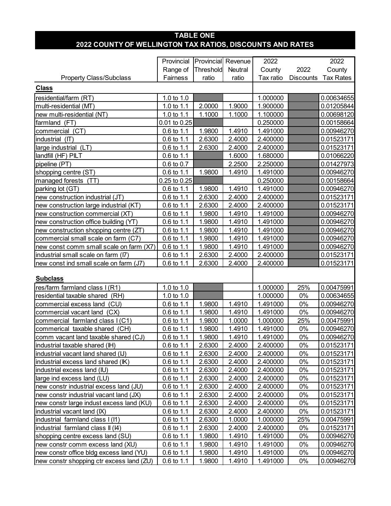# **TABLE ONE 2022 COUNTY OF WELLINGTON TAX RATIOS, DISCOUNTS AND RATES**

|                                          | Provincial            |           | Provincial Revenue |           | 2022             |                  |  |  |
|------------------------------------------|-----------------------|-----------|--------------------|-----------|------------------|------------------|--|--|
|                                          | Range of              | Threshold | Neutral            | County    | 2022             | 2022<br>County   |  |  |
| <b>Property Class/Subclass</b>           | Fairness              | ratio     | ratio              | Tax ratio | <b>Discounts</b> | <b>Tax Rates</b> |  |  |
| <b>Class</b>                             |                       |           |                    |           |                  |                  |  |  |
| residential/farm (RT)                    | 1.0 to 1.0            |           |                    | 1.000000  |                  | 0.00634655       |  |  |
| multi-residential (MT)                   | 1.0 to 1.1            | 2.0000    | 1.9000             | 1.900000  |                  | 0.01205844       |  |  |
| new multi-residential (NT)               | 1.0 to 1.1            | 1.1000    | 1.1000             | 1.100000  |                  | 0.00698120       |  |  |
| farmland (FT)                            | 0.01 to 0.25          |           |                    | 0.250000  |                  | 0.00158664       |  |  |
| commercial (CT)                          | 0.6 to 1.1            | 1.9800    | 1.4910             | 1.491000  |                  | 0.00946270       |  |  |
| industrial (IT)                          | 0.6 to 1.1            | 2.6300    | 2.4000             | 2.400000  |                  | 0.01523171       |  |  |
| large industrial (LT)                    | 0.6 to 1.1            | 2.6300    | 2.4000             | 2.400000  |                  | 0.01523171       |  |  |
| landfill (HF) PILT                       | 0.6 to 1.1            |           | 1.6000             | 1.680000  |                  | 0.01066220       |  |  |
| pipeline (PT)                            | 0.6 to 0.7            |           | 2.2500             | 2.250000  |                  | 0.01427973       |  |  |
| shopping centre (ST)                     | 0.6 to 1.1            | 1.9800    | 1.4910             | 1.491000  |                  | 0.00946270       |  |  |
| managed forests (TT)                     | $0.25$ to $0.25$      |           |                    | 0.250000  |                  | 0.00158664       |  |  |
| parking lot (GT)                         | 0.6 to 1.1            | 1.9800    | 1.4910             | 1.491000  |                  | 0.00946270       |  |  |
| new construction industrial (JT)         | 0.6 to 1.1            | 2.6300    | 2.4000             | 2.400000  |                  | 0.01523171       |  |  |
| new construction large industrial (KT)   | 0.6 to 1.1            | 2.6300    | 2.4000             | 2.400000  |                  | 0.01523171       |  |  |
| new construction commercial (XT)         | 0.6 to 1.1            | 1.9800    | 1.4910             | 1.491000  |                  | 0.00946270       |  |  |
| new construction office building (YT)    | 0.6 to 1.1            | 1.9800    | 1.4910             | 1.491000  |                  | 0.00946270       |  |  |
| new construction shopping centre (ZT)    | 0.6 to 1.1            | 1.9800    | 1.4910             | 1.491000  |                  | 0.00946270       |  |  |
| commercial small scale on farm (C7)      | 0.6 to 1.1            | 1.9800    | 1.4910             | 1.491000  |                  | 0.00946270       |  |  |
| new const comm small scale on farm (X7)  | 0.6 to 1.1            | 1.9800    | 1.4910             | 1.491000  |                  | 0.00946270       |  |  |
| industrial small scale on farm (I7)      | 0.6 to 1.1            | 2.6300    | 2.4000             | 2.400000  |                  | 0.01523171       |  |  |
| new const ind small scale on farm (J7)   | 0.6 to 1.1            | 2.6300    | 2.4000             | 2.400000  |                  | 0.01523171       |  |  |
|                                          |                       |           |                    |           |                  |                  |  |  |
| <b>Subclass</b>                          |                       |           |                    |           |                  |                  |  |  |
| res/farm farmland class I (R1)           | 1.0 to 1.0            |           |                    | 1.000000  | 25%              | 0.00475991       |  |  |
| residential taxable shared (RH)          | 1.0 to 1.0            |           |                    | 1.000000  | 0%               | 0.00634655       |  |  |
| commercial excess land (CU)              | 0.6 to 1.1            | 1.9800    | 1.4910             | 1.491000  | 0%               | 0.00946270       |  |  |
| commercial vacant land (CX)              | 0.6 to 1.1            | 1.9800    | 1.4910             | 1.491000  | 0%               | 0.00946270       |  |  |
| commercial farmland class I (C1)         | 0.6 to 1.1            | 1.9800    | 1.0000             | 1.000000  | 25%              | 0.00475991       |  |  |
| commerical taxable shared (CH)           | 0.6 to 1.1            | 1.9800    | 1.4910             | 1.491000  | 0%               | 0.00946270       |  |  |
| comm vacant land taxable shared (CJ)     | 0.6 to 1.1            | 1.9800    | 1.4910             | 1.491000  | 0%               | 0.00946270       |  |  |
| industrial taxable shared (IH)           | $0.6 \text{ to } 1.1$ | 2.6300    | 2.4000             | 2.400000  | 0%               | 0.01523171       |  |  |
| industrial vacant land shared (IJ)       | $0.6$ to 1.1          | 2.6300    | 2.4000             | 2.400000  | 0%               | 0.01523171       |  |  |
| industrial excess land shared (IK)       | $0.6$ to 1.1          | 2.6300    | 2.4000             | 2.400000  | 0%               | 0.01523171       |  |  |
| industrial excess land (IU)              | $0.6 \text{ to } 1.1$ | 2.6300    | 2.4000             | 2.400000  | 0%               | 0.01523171       |  |  |
| large ind excess land (LU)               | $0.6 \text{ to } 1.1$ | 2.6300    | 2.4000             | 2.400000  | 0%               | 0.01523171       |  |  |
| new constr industrial excess land (JU)   | $0.6 \text{ to } 1.1$ | 2.6300    | 2.4000             | 2.400000  | 0%               | 0.01523171       |  |  |
| new constr industrial vacant land (JX)   | 0.6 to 1.1            | 2.6300    | 2.4000             | 2.400000  | 0%               | 0.01523171       |  |  |
| new constr large indust excess land (KU) | $0.6 \text{ to } 1.1$ | 2.6300    | 2.4000             | 2.400000  | 0%               | 0.01523171       |  |  |
| industrial vacant land (IX)              | $0.6$ to 1.1          | 2.6300    | 2.4000             | 2.400000  | 0%               | 0.01523171       |  |  |
| industrial farmland class I (I1)         | $0.6 \text{ to } 1.1$ | 2.6300    | 1.0000             | 1.000000  | 25%              | 0.00475991       |  |  |
| industrial farmland class II (I4)        | $0.6 \text{ to } 1.1$ | 2.6300    | 2.4000             | 2.400000  | 0%               | 0.01523171       |  |  |
| shopping centre excess land (SU)         | $0.6$ to 1.1          | 1.9800    | 1.4910             | 1.491000  | 0%               | 0.00946270       |  |  |
| new constr comm excess land (XU)         | $0.6$ to 1.1          | 1.9800    | 1.4910             | 1.491000  | 0%               | 0.00946270       |  |  |
| new constr office bldg excess land (YU)  | $0.6 \text{ to } 1.1$ | 1.9800    | 1.4910             | 1.491000  | 0%               | 0.00946270       |  |  |
| new constr shopping ctr excess land (ZU) | $0.6 \text{ to } 1.1$ | 1.9800    | 1.4910             | 1.491000  | 0%               | 0.00946270       |  |  |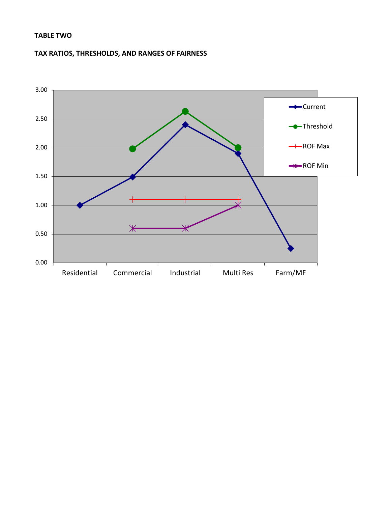# **TABLE TWO**

# **TAX RATIOS, THRESHOLDS, AND RANGES OF FAIRNESS**

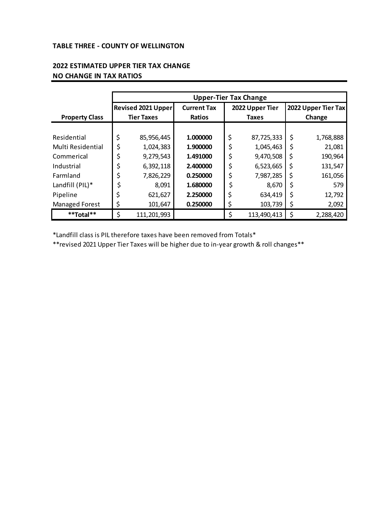### **TABLE THREE - COUNTY OF WELLINGTON**

|                       | <b>Upper-Tier Tax Change</b> |                    |                    |    |                 |                     |           |  |  |  |  |
|-----------------------|------------------------------|--------------------|--------------------|----|-----------------|---------------------|-----------|--|--|--|--|
|                       |                              | Revised 2021 Upper | <b>Current Tax</b> |    | 2022 Upper Tier | 2022 Upper Tier Tax |           |  |  |  |  |
| <b>Property Class</b> |                              | <b>Tier Taxes</b>  | <b>Ratios</b>      |    | <b>Taxes</b>    | Change              |           |  |  |  |  |
|                       |                              |                    |                    |    |                 |                     |           |  |  |  |  |
| Residential           | \$                           | 85,956,445         | 1.000000           | \$ | 87,725,333      | \$                  | 1,768,888 |  |  |  |  |
| Multi Residential     | \$                           | 1,024,383          | 1.900000           | \$ | 1,045,463       | \$                  | 21,081    |  |  |  |  |
| Commerical            | \$                           | 9,279,543          | 1.491000           | \$ | 9,470,508       | \$                  | 190,964   |  |  |  |  |
| Industrial            | \$                           | 6,392,118          | 2.400000           | \$ | 6,523,665       | \$                  | 131,547   |  |  |  |  |
| Farmland              | \$                           | 7,826,229          | 0.250000           | \$ | 7,987,285       | \$                  | 161,056   |  |  |  |  |
| Landfill (PIL)*       | \$                           | 8,091              | 1.680000           |    | 8,670           | \$                  | 579       |  |  |  |  |
| Pipeline              | \$                           | 621,627            | 2.250000           | \$ | 634,419         | \$                  | 12,792    |  |  |  |  |
| Managed Forest        | \$                           | 101,647            | 0.250000           | \$ | 103,739         | \$                  | 2,092     |  |  |  |  |
| **Total**             | \$                           | 111,201,993        |                    | \$ | 113,490,413     | \$                  | 2,288,420 |  |  |  |  |

# **2022 ESTIMATED UPPER TIER TAX CHANGE NO CHANGE IN TAX RATIOS**

\*Landfill class is PIL therefore taxes have been removed from Totals\*

\*\*revised 2021 Upper Tier Taxes will be higher due to in-year growth & roll changes\*\*